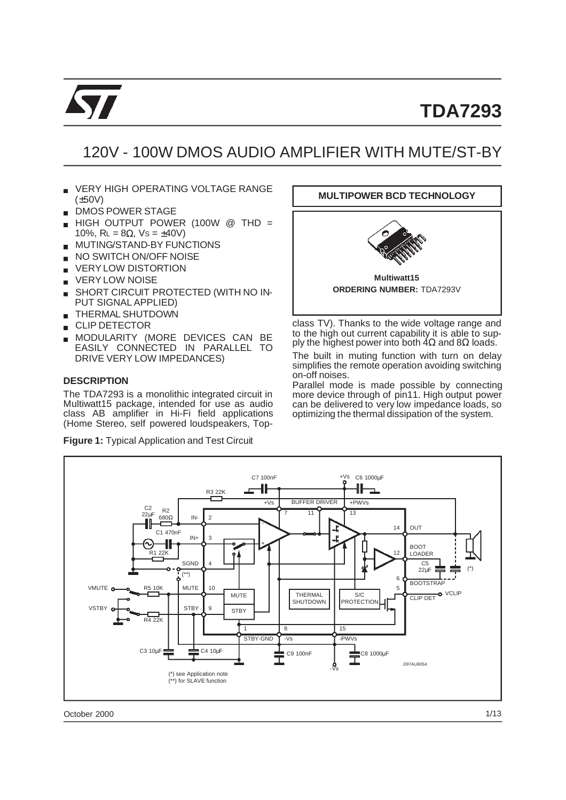

# **TDA7293**

# 120V - 100W DMOS AUDIO AMPLIFIER WITH MUTE/ST-BY

- VERY HIGH OPERATING VOLTAGE RANGE (±50V)
- DMOS POWER STAGE
- HIGH OUTPUT POWER (100W @ THD = 10%,  $R_L = 8Ω$ ,  $Vs = ±40V$ )
- MUTING/STAND-BY FUNCTIONS  $\blacksquare$
- NO SWITCH ON/OFF NOISE
- VERY LOW DISTORTION
- **U VERY LOW NOISE**
- SHORT CIRCUIT PROTECTED (WITH NO IN-PUT SIGNAL APPLIED)
- THERMAL SHUTDOWN **COLOR**
- CLIP DETECTOR  $\blacksquare$
- MODULARITY (MORE DEVICES CAN BE EASILY CONNECTED IN PARALLEL TO DRIVE VERY LOW IMPEDANCES)

#### **DESCRIPTION**

The TDA7293 is a monolithic integrated circuit in Multiwatt15 package, intended for use as audio class AB amplifier in Hi-Fi field applications (Home Stereo, self powered loudspeakers, Top-

**Figure 1:** Typical Application and Test Circuit



class TV). Thanks to the wide voltage range and to the high out current capability it is able to supply the highest power into both  $4\Omega$  and 8 $\Omega$  loads.

The built in muting function with turn on delay simplifies the remote operation avoiding switching on-off noises.

Parallel mode is made possible by connecting more device through of pin11. High output power can be delivered to very low impedance loads, so optimizing the thermal dissipation of the system.



October 2000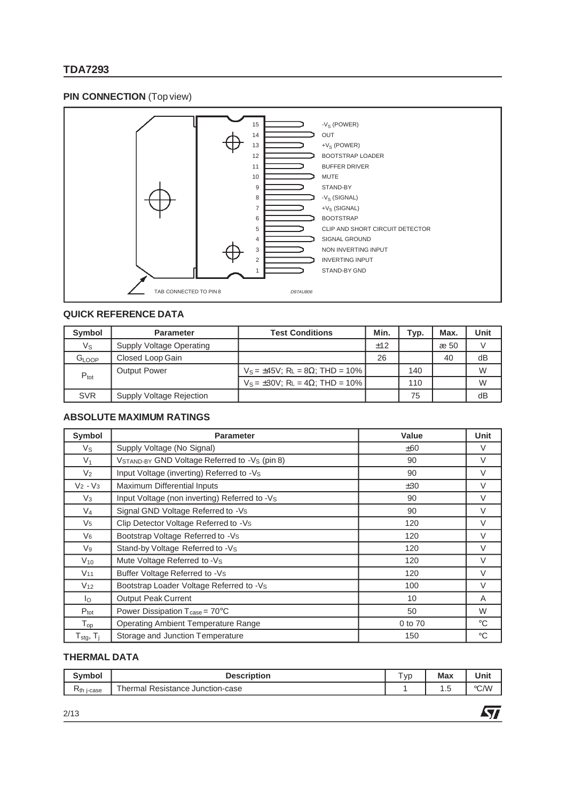# **TDA7293**

# **PIN CONNECTION** (Top view)



## **QUICK REFERENCE DATA**

| <b>Symbol</b>     | <b>Parameter</b>         | <b>Test Conditions</b>                        | Min. | Typ. | Max. | Unit |
|-------------------|--------------------------|-----------------------------------------------|------|------|------|------|
| Vs                | Supply Voltage Operating |                                               | ±12  |      | æ 50 |      |
| G <sub>LOOP</sub> | Closed Loop Gain         |                                               | 26   |      | 40   | dB   |
| $P_{\text{tot}}$  | <b>Output Power</b>      | $V_S = \pm 45V$ ; RL = 8 $\Omega$ ; THD = 10% |      | 140  |      | W    |
|                   |                          | $V_S = \pm 30V$ ; RL = 4 $\Omega$ ; THD = 10% |      | 110  |      | W    |
| <b>SVR</b>        | Supply Voltage Rejection |                                               |      | 75   |      | dB   |

### **ABSOLUTE MAXIMUM RATINGS**

| Symbol                                            | <b>Parameter</b>                                   | Value   | Unit        |
|---------------------------------------------------|----------------------------------------------------|---------|-------------|
| Vs                                                | Supply Voltage (No Signal)                         | ±60     | $\vee$      |
| $V_1$                                             | VSTAND-BY GND Voltage Referred to -Vs (pin 8)      | 90      | V           |
| V <sub>2</sub>                                    | Input Voltage (inverting) Referred to -Vs          | 90      | $\vee$      |
| $V_2 - V_3$                                       | Maximum Differential Inputs                        | ±30     | $\vee$      |
| $V_3$                                             | Input Voltage (non inverting) Referred to -Vs      | 90      | $\vee$      |
| $V_4$                                             | Signal GND Voltage Referred to -Vs                 | 90      | $\vee$      |
| V <sub>5</sub>                                    | Clip Detector Voltage Referred to -Vs              | 120     | $\vee$      |
| $V_6$                                             | Bootstrap Voltage Referred to -Vs                  | 120     | V           |
| $V_9$                                             | Stand-by Voltage Referred to -Vs                   | 120     | $\vee$      |
| $V_{10}$                                          | Mute Voltage Referred to -Vs                       | 120     | $\vee$      |
| V <sub>11</sub>                                   | Buffer Voltage Referred to -Vs                     | 120     | $\vee$      |
| V <sub>12</sub>                                   | Bootstrap Loader Voltage Referred to -Vs           | 100     | $\vee$      |
| lo                                                | <b>Output Peak Current</b>                         | 10      | A           |
| $P_{\text{tot}}$                                  | Power Dissipation $T_{\text{case}} = 70^{\circ}$ C | 50      | W           |
| $\mathsf{T}_{\mathsf{op}}$                        | <b>Operating Ambient Temperature Range</b>         | 0 to 70 | $^{\circ}C$ |
| $\mathsf{T}_{\text{stg}},\,\mathsf{T}_{\text{j}}$ | Storage and Junction Temperature                   | 150     | $^{\circ}C$ |

# **THERMAL DATA**

| <b>Symbol</b>          | <b>Description</b>                                                 | $\overline{\phantom{a}}$<br><b>VC</b> | <b>Max</b> | Unit |
|------------------------|--------------------------------------------------------------------|---------------------------------------|------------|------|
| K <sub>th</sub> j-case | $\overline{\phantom{a}}$<br>al Resistance Junction-case<br>⊺hermal |                                       | ں ،        | °C/W |

牙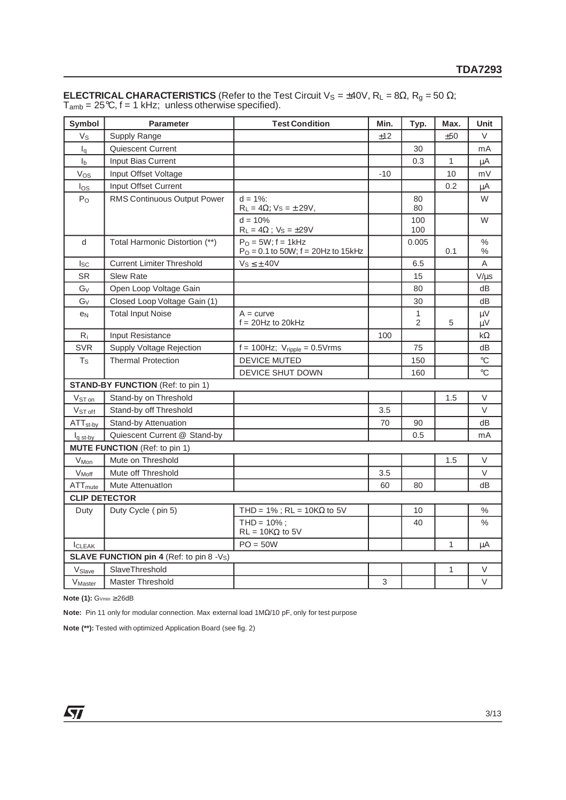| Symbol                                          | <b>Parameter</b>                         | <b>Test Condition</b>                                            | Min.  | Typ.              | Max.         | Unit            |  |  |
|-------------------------------------------------|------------------------------------------|------------------------------------------------------------------|-------|-------------------|--------------|-----------------|--|--|
| $V_{S}$                                         | Supply Range                             |                                                                  | ±12   |                   | ±50          | V               |  |  |
| $I_q$                                           | Quiescent Current                        |                                                                  |       | 30                |              | mA              |  |  |
| I <sub>b</sub>                                  | Input Bias Current                       |                                                                  |       | 0.3               | 1            | $\mu$ A         |  |  |
| Vos                                             | Input Offset Voltage                     |                                                                  | $-10$ |                   | 10           | mV              |  |  |
| $I_{OS}$                                        | Input Offset Current                     |                                                                  |       |                   | 0.2          | μA              |  |  |
| $P_{O}$                                         | RMS Continuous Output Power              | $d = 1\%$ :<br>$R_L = 4\Omega$ ; $Vs = \pm 29V$ ,                |       | 80<br>80          |              | W               |  |  |
|                                                 |                                          | $d = 10%$<br>$R_L = 4\Omega$ ; $V_S = \pm 29V$                   |       | 100<br>100        |              | W               |  |  |
| d                                               | Total Harmonic Distortion (**)           | $PO = 5W$ ; f = 1kHz<br>$P_O = 0.1$ to 50W; $f = 20$ Hz to 15kHz |       | 0.005             | 0.1          | $\%$<br>$\%$    |  |  |
| <b>Isc</b>                                      | <b>Current Limiter Threshold</b>         | $Vs \leq \pm 40V$                                                |       | 6.5               |              | Α               |  |  |
| <b>SR</b>                                       | <b>Slew Rate</b>                         |                                                                  |       | 15                |              | $V/\mu s$       |  |  |
| $G_V$                                           | Open Loop Voltage Gain                   |                                                                  |       | 80                |              | dВ              |  |  |
| Gv                                              | Closed Loop Voltage Gain (1)             |                                                                  |       | 30                |              | dВ              |  |  |
| e <sub>N</sub>                                  | <b>Total Input Noise</b>                 | $A = curve$<br>$f = 20$ Hz to 20kHz                              |       | $\mathbf{1}$<br>2 | 5            | μV<br>μV        |  |  |
| $R_i$                                           | Input Resistance                         |                                                                  | 100   |                   |              | kΩ              |  |  |
| SVR                                             | Supply Voltage Rejection                 | $f = 100$ Hz; $V_{\text{ripole}} = 0.5$ Vrms                     |       | 75                |              | dВ              |  |  |
| $T_S$                                           | <b>Thermal Protection</b>                | <b>DEVICE MUTED</b>                                              |       | 150               |              | $\rm ^{\circ}C$ |  |  |
|                                                 |                                          | <b>DEVICE SHUT DOWN</b>                                          |       | 160               |              | $\rm ^{\circ}C$ |  |  |
|                                                 | <b>STAND-BY FUNCTION (Ref: to pin 1)</b> |                                                                  |       |                   |              |                 |  |  |
| V <sub>ST on</sub>                              | Stand-by on Threshold                    |                                                                  |       |                   | 1.5          | V               |  |  |
| V <sub>ST off</sub>                             | Stand-by off Threshold                   |                                                                  | 3.5   |                   |              | V               |  |  |
| $ATT_{\text{st-by}}$                            | Stand-by Attenuation                     |                                                                  | 70    | 90                |              | dВ              |  |  |
| $I_{\alpha \text{ st-bv}}$                      | Quiescent Current @ Stand-by             |                                                                  |       | 0.5               |              | mA              |  |  |
|                                                 | <b>MUTE FUNCTION</b> (Ref: to pin 1)     |                                                                  |       |                   |              |                 |  |  |
| V <sub>Mon</sub>                                | Mute on Threshold                        |                                                                  |       |                   | 1.5          | V               |  |  |
| $V_{Moff}$                                      | Mute off Threshold                       |                                                                  | 3.5   |                   |              | $\vee$          |  |  |
| ATT <sub>mute</sub>                             | Mute Attenuation                         |                                                                  | 60    | 80                |              | dВ              |  |  |
| <b>CLIP DETECTOR</b>                            |                                          |                                                                  |       |                   |              |                 |  |  |
| Duty                                            | Duty Cycle (pin 5)                       | THD = $1\%$ ; RL = $10KΩ$ to 5V                                  |       | 10                |              | $\%$            |  |  |
|                                                 |                                          | $THD = 10\%$ :<br>$RL = 10K\Omega$ to 5V                         |       | 40                |              | %               |  |  |
| <b>I</b> CLEAK                                  |                                          | $PO = 50W$                                                       |       |                   | $\mathbf{1}$ | μA              |  |  |
| <b>SLAVE FUNCTION pin 4 (Ref: to pin 8 -Vs)</b> |                                          |                                                                  |       |                   |              |                 |  |  |
| V <sub>Slave</sub>                              | SlaveThreshold                           |                                                                  |       |                   | 1            | $\vee$          |  |  |
| V <sub>Master</sub>                             | <b>Master Threshold</b>                  |                                                                  | 3     |                   |              | $\vee$          |  |  |

**ELECTRICAL CHARACTERISTICS** (Refer to the Test Circuit V<sub>S</sub> = ±40V, R<sub>L</sub> = 8 $\Omega$ , R<sub>g</sub> = 50  $\Omega$ ;  $T_{amb}$  = 25°C, f = 1 kHz; unless otherwise specified).

**Note (1): G**∨min ≥ 26dB

**Note:** Pin 11 only for modular connection. Max external load 1MΩ/10 pF, only for test purpose

**Note (\*\*):** Tested with optimized Application Board (see fig. 2)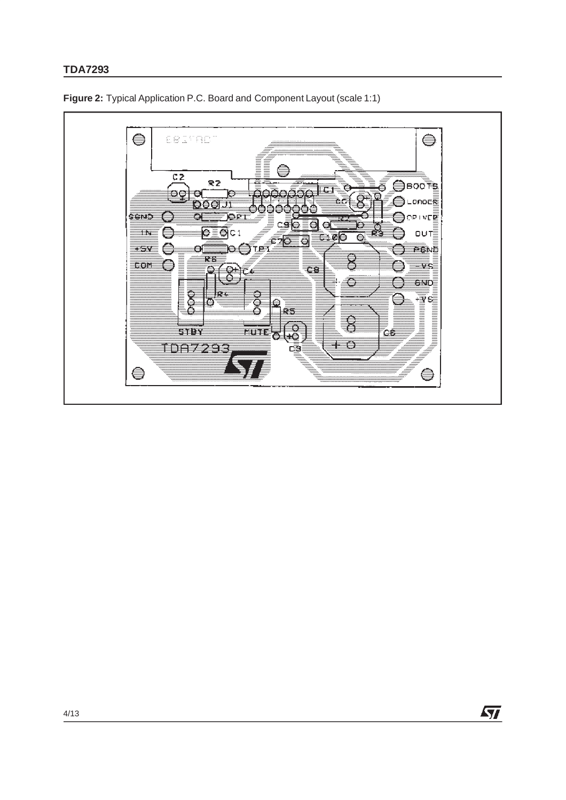# **TDA7293**



**Figure 2:** Typical Application P.C. Board and Component Layout (scale 1:1)

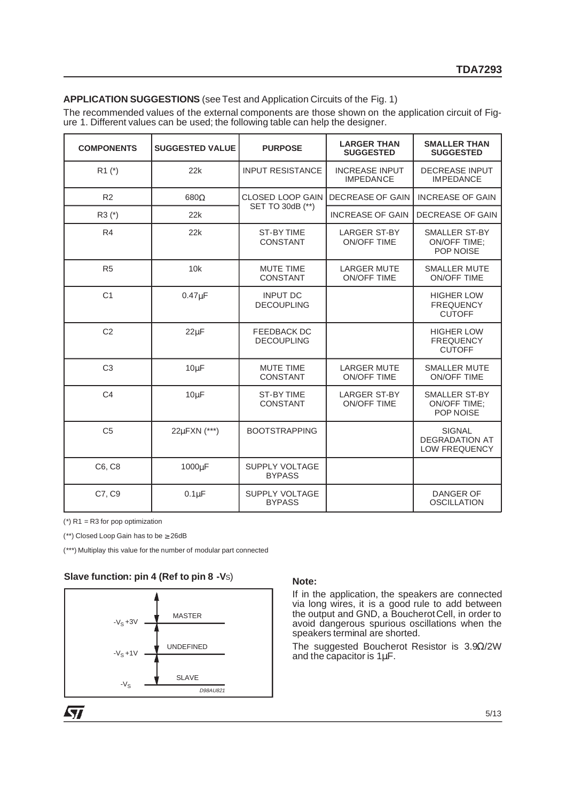#### **APPLICATION SUGGESTIONS** (see Test and Application Circuits of the Fig. 1)

The recommended values of the external components are those shown on the application circuit of Figure 1. Different values can be used; the following table can help the designer.

| <b>COMPONENTS</b> | <b>SUGGESTED VALUE</b> | <b>PURPOSE</b>                          | <b>LARGER THAN</b><br><b>SUGGESTED</b>    | <b>SMALLER THAN</b><br><b>SUGGESTED</b>                  |
|-------------------|------------------------|-----------------------------------------|-------------------------------------------|----------------------------------------------------------|
| $R1$ (*)          | 22k                    | <b>INPUT RESISTANCE</b>                 | <b>INCREASE INPUT</b><br><b>IMPEDANCE</b> | <b>DECREASE INPUT</b><br><b>IMPEDANCE</b>                |
| R <sub>2</sub>    | $680\Omega$            | <b>CLOSED LOOP GAIN</b>                 | <b>DECREASE OF GAIN</b>                   | <b>INCREASE OF GAIN</b>                                  |
| $R3 (*)$          | 22k                    | SET TO 30dB (**)                        | <b>INCREASE OF GAIN</b>                   | DECREASE OF GAIN                                         |
| R <sub>4</sub>    | 22k                    | <b>ST-BY TIME</b><br><b>CONSTANT</b>    | <b>LARGER ST-BY</b><br><b>ON/OFF TIME</b> | SMALLER ST-BY<br><b>ON/OFF TIME;</b><br>POP NOISE        |
| R <sub>5</sub>    | 10k                    | <b>MUTE TIME</b><br>CONSTANT            | <b>LARGER MUTE</b><br><b>ON/OFF TIME</b>  | <b>SMALLER MUTE</b><br><b>ON/OFF TIME</b>                |
| C <sub>1</sub>    | $0.47\mu F$            | <b>INPUT DC</b><br><b>DECOUPLING</b>    |                                           | <b>HIGHER LOW</b><br><b>FREQUENCY</b><br><b>CUTOFF</b>   |
| C <sub>2</sub>    | $22\mu F$              | <b>FEEDBACK DC</b><br><b>DECOUPLING</b> |                                           | <b>HIGHER LOW</b><br><b>FREQUENCY</b><br><b>CUTOFF</b>   |
| C <sub>3</sub>    | $10\mu F$              | <b>MUTE TIME</b><br><b>CONSTANT</b>     | <b>LARGER MUTE</b><br><b>ON/OFF TIME</b>  | <b>SMALLER MUTE</b><br><b>ON/OFF TIME</b>                |
| C <sub>4</sub>    | $10 \mu F$             | <b>ST-BY TIME</b><br><b>CONSTANT</b>    | <b>LARGER ST-BY</b><br><b>ON/OFF TIME</b> | <b>SMALLER ST-BY</b><br><b>ON/OFF TIME:</b><br>POP NOISE |
| C <sub>5</sub>    | 22µFXN (***)           | <b>BOOTSTRAPPING</b>                    |                                           | <b>SIGNAL</b><br><b>DEGRADATION AT</b><br>LOW FREQUENCY  |
| C6, C8            | 1000µF                 | <b>SUPPLY VOLTAGE</b><br><b>BYPASS</b>  |                                           |                                                          |
| C7, C9            | $0.1\mu F$             | <b>SUPPLY VOLTAGE</b><br><b>BYPASS</b>  |                                           | <b>DANGER OF</b><br><b>OSCILLATION</b>                   |

(\*) R1 = R3 for pop optimization

(\*\*) Closed Loop Gain has to be ≥ 26dB

(\*\*\*) Multiplay this value for the number of modular part connected

# **Slave function: pin 4 (Ref to pin 8 -Vs)** Note:



If in the application, the speakers are connected via long wires, it is a good rule to add between the output and GND, a BoucherotCell, in order to avoid dangerous spurious oscillations when the speakers terminal are shorted.

The suggested Boucherot Resistor is 3.9Ω/2W and the capacitor is 1µF.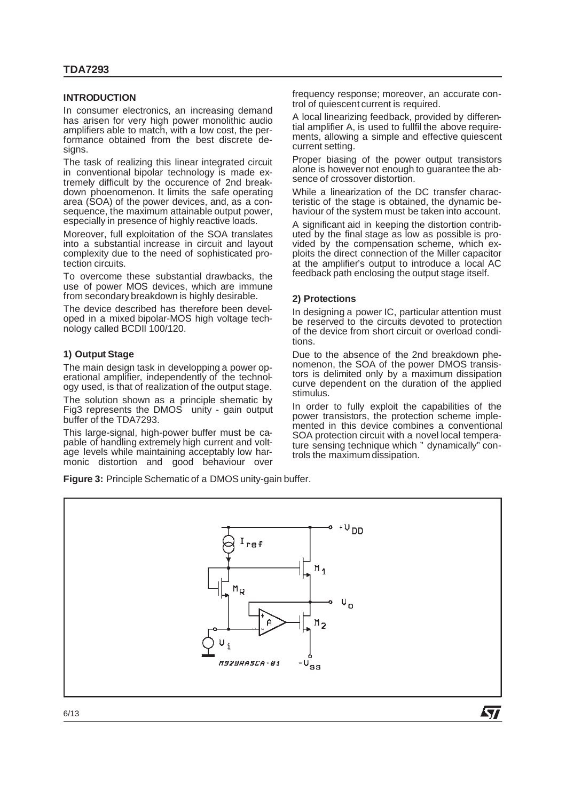#### **INTRODUCTION**

In consumer electronics, an increasing demand has arisen for very high power monolithic audio amplifiers able to match, with a low cost, the performance obtained from the best discrete designs.

The task of realizing this linear integrated circuit in conventional bipolar technology is made extremely difficult by the occurence of 2nd breakdown phoenomenon. It limits the safe operating area (SOA) of the power devices, and, as a consequence, the maximum attainable output power, especially in presence of highly reactive loads.

Moreover, full exploitation of the SOA translates into a substantial increase in circuit and layout complexity due to the need of sophisticated protection circuits.

To overcome these substantial drawbacks, the use of power MOS devices, which are immune from secondary breakdown is highly desirable.

The device described has therefore been developed in a mixed bipolar-MOS high voltage technology called BCDII 100/120.

#### **1) Output Stage**

The main design task in developping a power operational amplifier, independently of the technology used, is that of realization of the output stage.

The solution shown as a principle shematic by Fig3 represents the DMOS unity - gain output buffer of the TDA7293.

This large-signal, high-power buffer must be capable of handling extremely high current and voltage levels while maintaining acceptably low harmonic distortion and good behaviour over

**Figure 3:** Principle Schematic of a DMOS unity-gain buffer.

frequency response; moreover, an accurate control of quiescent current is required.

A local linearizing feedback, provided by differential amplifier A, is used to fullfil the above requirements, allowing a simple and effective quiescent current setting.

Proper biasing of the power output transistors alone is however not enough to guarantee the absence of crossover distortion.

While a linearization of the DC transfer characteristic of the stage is obtained, the dynamic behaviour of the system must be taken into account.

A significant aid in keeping the distortion contributed by the final stage as low as possible is provided by the compensation scheme, which exploits the direct connection of the Miller capacitor at the amplifier's output to introduce a local AC feedback path enclosing the output stage itself.

#### **2) Protections**

In designing a power IC, particular attention must be reserved to the circuits devoted to protection of the device from short circuit or overload conditions.

Due to the absence of the 2nd breakdown phenomenon, the SOA of the power DMOS transistors is delimited only by a maximum dissipation curve dependent on the duration of the applied stimulus.

In order to fully exploit the capabilities of the power transistors, the protection scheme implemented in this device combines a conventional SOA protection circuit with a novel local temperature sensing technique which " dynamically" controls the maximum dissipation.

**Ayy** 

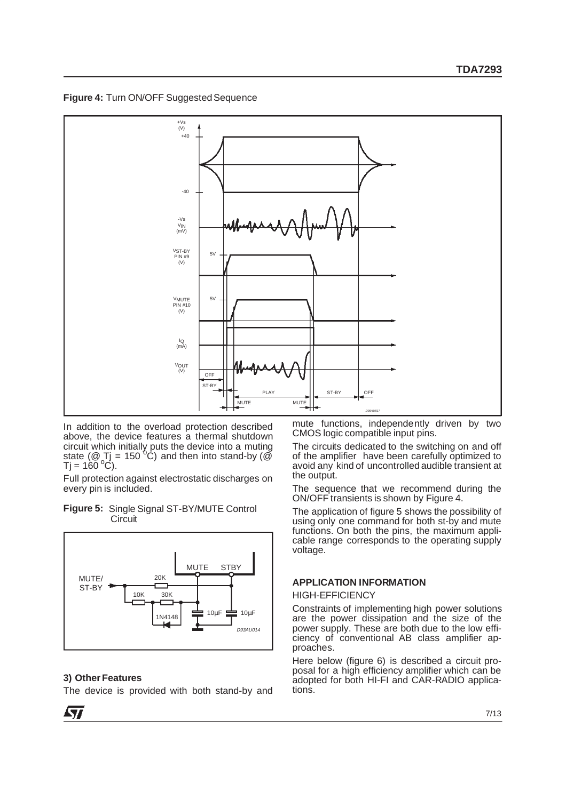**Figure 4: Turn ON/OFF Suggested Sequence** 



In addition to the overload protection described above, the device features a thermal shutdown circuit which initially puts the device into a muting<br>state (@ Tj = 150 °C) and then into stand-by (@<br>Tj = 160 °C).

Full protection against electrostatic discharges on every pin is included.

**Figure 5:** Single Signal ST-BY/MUTE Control **Circuit** 



#### **3) Other Features**

The device is provided with both stand-by and

mute functions, independently driven by two CMOS logic compatible input pins.

The circuits dedicated to the switching on and off of the amplifier have been carefully optimized to avoid any kind of uncontrolled audible transient at the output.

The sequence that we recommend during the ON/OFF transients is shown by Figure 4.

The application of figure 5 shows the possibility of using only one command for both st-by and mute functions. On both the pins, the maximum applicable range corresponds to the operating supply voltage.

#### **APPLICATION INFORMATION**

#### HIGH-EFFICIENCY

Constraints of implementing high power solutions are the power dissipation and the size of the power supply. These are both due to the low efficiency of conventional AB class amplifier approaches.

Here below (figure 6) is described a circuit proposal for a high efficiency amplifier which can be adopted for both HI-FI and CAR-RADIO applications.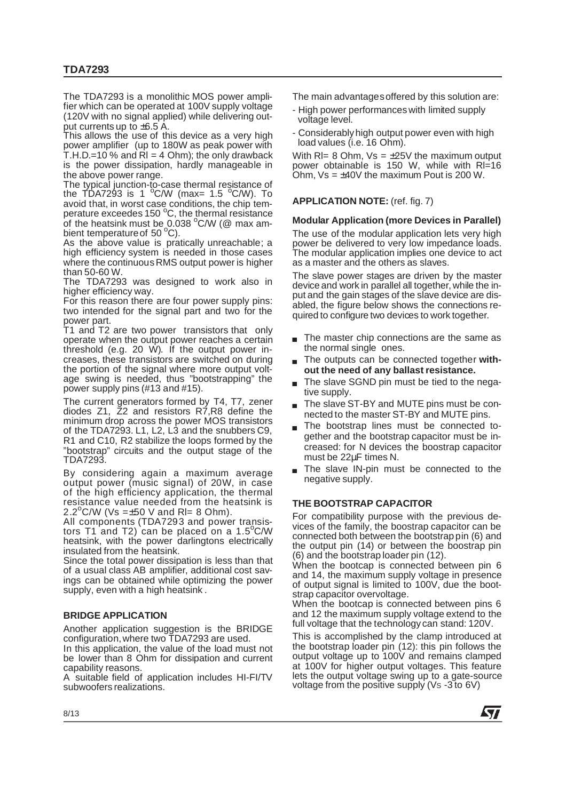The TDA7293 is a monolithic MOS power amplifier which can be operated at 100V supply voltage (120V with no signal applied) while delivering output currents up to  $\pm 6.5$  A.

This allows the use of this device as a very high power amplifier (up to 180W as peak power with T.H.D.=10 % and  $\overline{R}$  = 4 Ohm); the only drawback is the power dissipation, hardly manageable in the above power range.

The typical junction-to-case thermal resistance of the TDA7293 is 1 <sup>o</sup> C/W (max= 1.5 <sup>o</sup> C/W). To avoid that, in worst case conditions, the chip tem-<br>perature exceedes 150 °C, the thermal resistance of the heatsink must be  $0.038$  °C/W ( $@$  max am-<br>bient temperature of 50 °C).

As the above value is pratically unreachable; a high efficiency system is needed in those cases where the continuous RMS output power is higher than 50-60 W.

The TDA7293 was designed to work also in higher efficiency way.

For this reason there are four power supply pins: two intended for the signal part and two for the power part.

T1 and T2 are two power transistors that only operate when the output power reaches a certain threshold (e.g. 20 W). If the output power increases, these transistors are switched on during the portion of the signal where more output voltage swing is needed, thus "bootstrapping" the power supply pins (#13 and #15).

The current generators formed by T4, T7, zener diodes Z1, Z2 and resistors R7, R8 define the minimum drop across the power MOS transistors of the TDA7293. L1, L2, L3 and the snubbers C9, R1 and C10, R2 stabilize the loops formed by the "bootstrap" circuits and the output stage of the TDA7293.

By considering again a maximum average output power (music signal) of 20W, in case of the high efficiency application, the thermal resistance value needed from the heatsink is  $2.2^{\circ}$ C/W (Vs = $\pm$ 50 V and RI= 8 Ohm).

All components (TDA7293 and power transistors T1 and T2) can be placed on a 1.5<sup>o</sup>C/W heatsink, with the power darlingtons electrically insulated from the heatsink.

Since the total power dissipation is less than that of a usual class AB amplifier, additional cost savings can be obtained while optimizing the power supply, even with a high heatsink .

# **BRIDGE APPLICATION**

Another application suggestion is the BRIDGE configuration,where two TDA7293 are used.

In this application, the value of the load must not be lower than 8 Ohm for dissipation and current capability reasons.

A suitable field of application includes HI-FI/TV subwoofers realizations.

The main advantagesoffered by this solution are:

- High power performances with limited supply voltage level.
- Considerablyhigh output power even with high load values (i.e. 16 Ohm).

With  $RI = 8$  Ohm,  $Vs = \pm 25V$  the maximum output power obtainable is 150 W, while with Rl=16 Ohm,  $Vs = \pm 40V$  the maximum Pout is 200 W.

#### **APPLICATION NOTE:** (ref. fig. 7)

#### **Modular Application (more Devices in Parallel)**

The use of the modular application lets very high power be delivered to very low impedance loads. The modular application implies one device to act as a master and the others as slaves.

The slave power stages are driven by the master device and work in parallel all together, while the input and the gain stages of the slave device are disabled, the figure below shows the connections required to configure two devices to work together.

- The master chip connections are the same as the normal single ones.
- The outputs can be connected together **without the need of any ballast resistance.**
- The slave SGND pin must be tied to the negative supply.
- The slave ST-BY and MUTE pins must be connected to the master ST-BY and MUTE pins.
- The bootstrap lines must be connected together and the bootstrap capacitor must be increased: for N devices the boostrap capacitor must be 22µF times N.
- The slave IN-pin must be connected to the negative supply.

### **THE BOOTSTRAP CAPACITOR**

For compatibility purpose with the previous devices of the family, the boostrap capacitor can be connected both between the bootstrap pin (6) and the output pin (14) or between the boostrap pin (6) and the bootstrap loader pin (12).

When the bootcap is connected between pin 6 and 14, the maximum supply voltage in presence of output signal is limited to 100V, due the bootstrap capacitor overvoltage.

When the bootcap is connected between pins 6 and 12 the maximum supply voltage extend to the full voltage that the technology can stand: 120V.

This is accomplished by the clamp introduced at the bootstrap loader pin (12): this pin follows the output voltage up to 100V and remains clamped at 100V for higher output voltages. This feature lets the output voltage swing up to a gate-source voltage from the positive supply (Vs -3 to 6V)



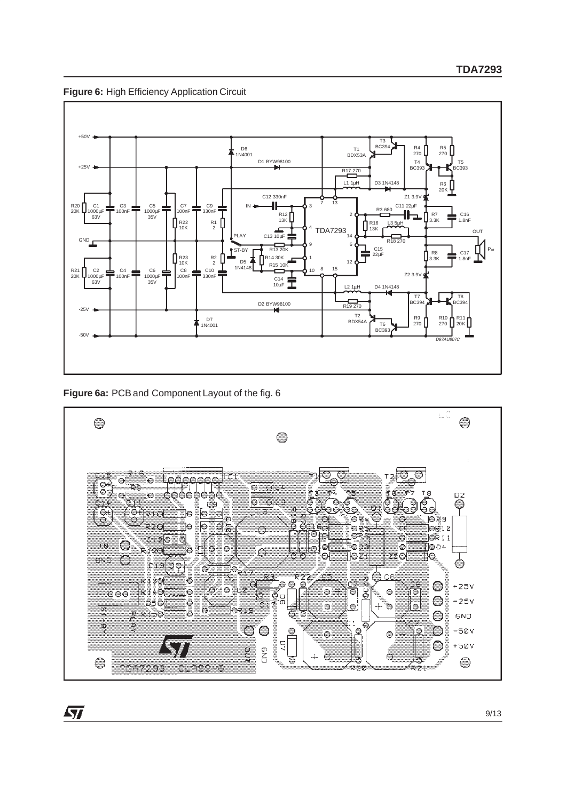



**Figure 6a:** PCB and Component Layout of the fig. 6

57

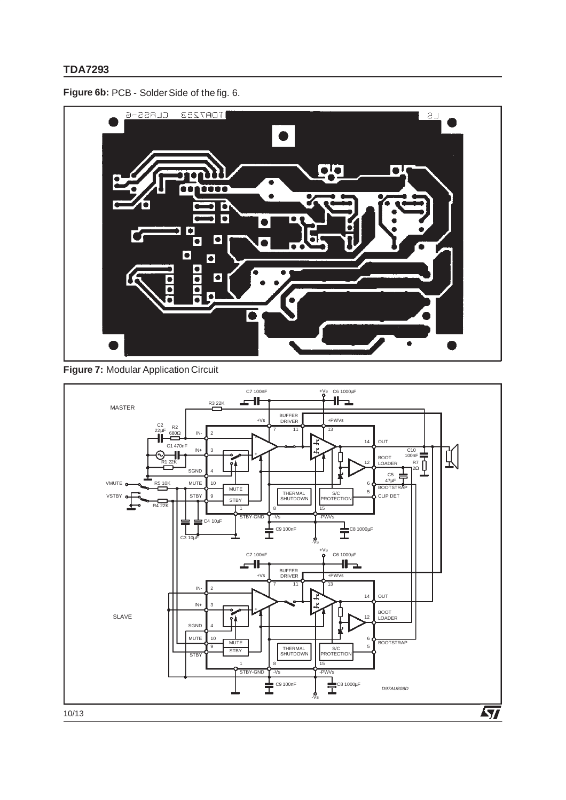**Figure 6b:** PCB - Solder Side of the fig. 6.



# **Figure 7:** Modular Application Circuit

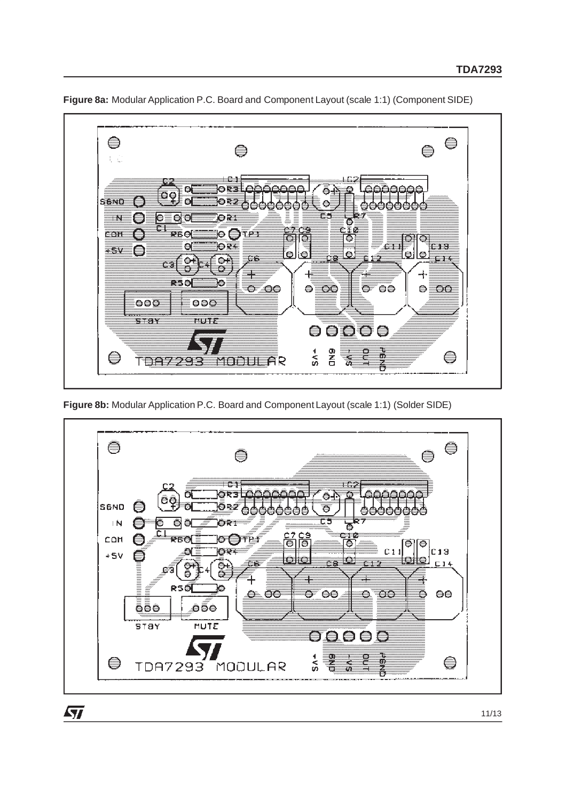

**Figure 8a:** Modular Application P.C. Board and Component Layout (scale 1:1) (Component SIDE)

**Figure 8b:** Modular Application P.C. Board and Component Layout (scale 1:1) (Solder SIDE)



 $\sqrt{27}$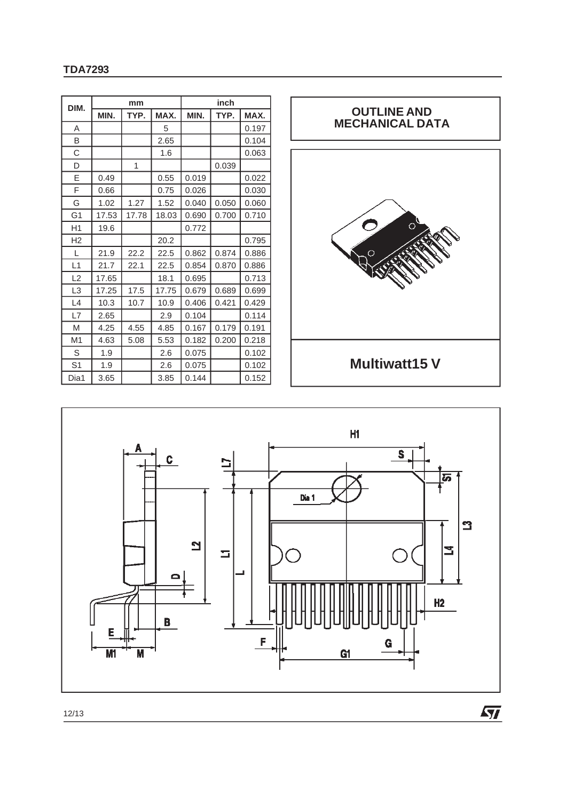| DIM.           | mm    |       |       | inch  |       |       |  |
|----------------|-------|-------|-------|-------|-------|-------|--|
|                | MIN.  | TYP.  | MAX.  | MIN.  | TYP.  | MAX.  |  |
| A              |       |       | 5     |       |       | 0.197 |  |
| B              |       |       | 2.65  |       |       | 0.104 |  |
| C              |       |       | 1.6   |       |       | 0.063 |  |
| D              |       | 1     |       |       | 0.039 |       |  |
| Е              | 0.49  |       | 0.55  | 0.019 |       | 0.022 |  |
| F              | 0.66  |       | 0.75  | 0.026 |       | 0.030 |  |
| G              | 1.02  | 1.27  | 1.52  | 0.040 | 0.050 | 0.060 |  |
| G <sub>1</sub> | 17.53 | 17.78 | 18.03 | 0.690 | 0.700 | 0.710 |  |
| H1             | 19.6  |       |       | 0.772 |       |       |  |
| H <sub>2</sub> |       |       | 20.2  |       |       | 0.795 |  |
| L              | 21.9  | 22.2  | 22.5  | 0.862 | 0.874 | 0.886 |  |
| L1             | 21.7  | 22.1  | 22.5  | 0.854 | 0.870 | 0.886 |  |
| L2             | 17.65 |       | 18.1  | 0.695 |       | 0.713 |  |
| L <sub>3</sub> | 17.25 | 17.5  | 17.75 | 0.679 | 0.689 | 0.699 |  |
| L4             | 10.3  | 10.7  | 10.9  | 0.406 | 0.421 | 0.429 |  |
| L7             | 2.65  |       | 2.9   | 0.104 |       | 0.114 |  |
| M              | 4.25  | 4.55  | 4.85  | 0.167 | 0.179 | 0.191 |  |
| M1             | 4.63  | 5.08  | 5.53  | 0.182 | 0.200 | 0.218 |  |
| S              | 1.9   |       | 2.6   | 0.075 |       | 0.102 |  |
| S <sub>1</sub> | 1.9   |       | 2.6   | 0.075 |       | 0.102 |  |
| Dia1           | 3.65  |       | 3.85  | 0.144 |       | 0.152 |  |



 $\sqrt{M}$ 



12/13